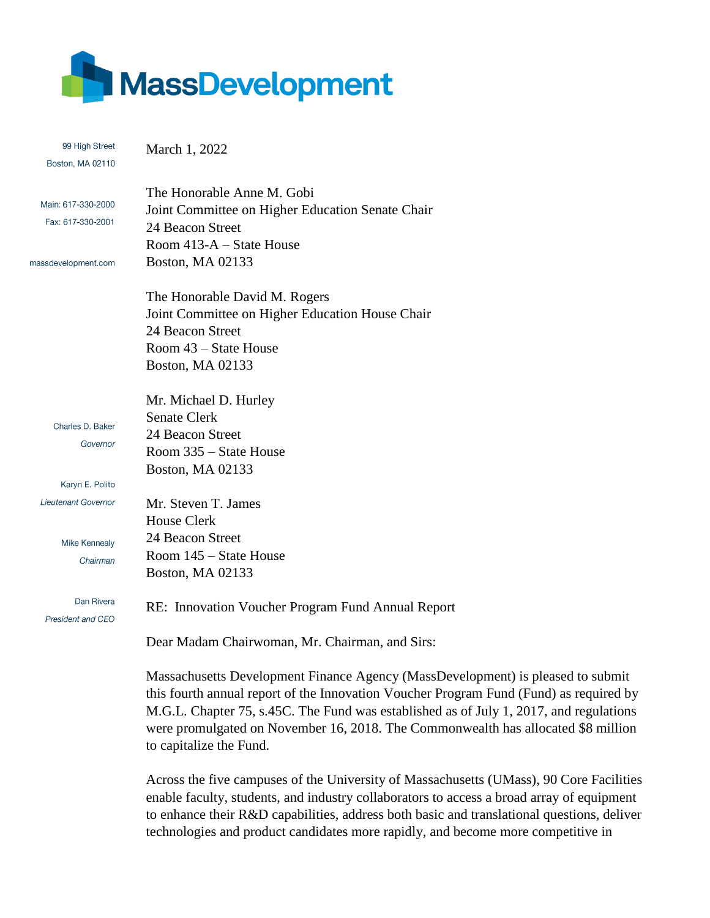

| 99 High Street               | March 1, 2022                                                                          |
|------------------------------|----------------------------------------------------------------------------------------|
| Boston, MA 02110             |                                                                                        |
|                              |                                                                                        |
| Main: 617-330-2000           | The Honorable Anne M. Gobi                                                             |
| Fax: 617-330-2001            | Joint Committee on Higher Education Senate Chair                                       |
|                              | 24 Beacon Street                                                                       |
|                              | Room 413-A – State House                                                               |
| massdevelopment.com          | Boston, MA 02133                                                                       |
|                              | The Honorable David M. Rogers                                                          |
|                              | Joint Committee on Higher Education House Chair                                        |
|                              | 24 Beacon Street                                                                       |
|                              | Room 43 – State House                                                                  |
|                              | Boston, MA 02133                                                                       |
|                              |                                                                                        |
|                              | Mr. Michael D. Hurley                                                                  |
|                              | <b>Senate Clerk</b>                                                                    |
| Charles D. Baker<br>Governor | 24 Beacon Street                                                                       |
|                              | Room 335 – State House                                                                 |
|                              | Boston, MA 02133                                                                       |
| Karyn E. Polito              |                                                                                        |
| Lieutenant Governor          | Mr. Steven T. James                                                                    |
|                              | <b>House Clerk</b>                                                                     |
| <b>Mike Kennealy</b>         | 24 Beacon Street                                                                       |
| Chairman                     | Room 145 – State House                                                                 |
|                              | Boston, MA 02133                                                                       |
| Dan Rivera                   |                                                                                        |
| President and CEO            | RE: Innovation Voucher Program Fund Annual Report                                      |
|                              | Dear Madam Chairwoman, Mr. Chairman, and Sirs:                                         |
|                              | Massachusetts Development Finance Agency (MassDevelopment) is pleased to submit        |
|                              | this fourth annual report of the Innovation Voucher Program Fund (Fund) as required by |
|                              | M.G.L. Chapter 75, s.45C. The Fund was established as of July 1, 2017, and regulations |
|                              | were promulgated on November 16, 2018. The Commonwealth has allocated \$8 million      |

to capitalize the Fund.

Across the five campuses of the University of Massachusetts (UMass), 90 Core Facilities enable faculty, students, and industry collaborators to access a broad array of equipment to enhance their R&D capabilities, address both basic and translational questions, deliver technologies and product candidates more rapidly, and become more competitive in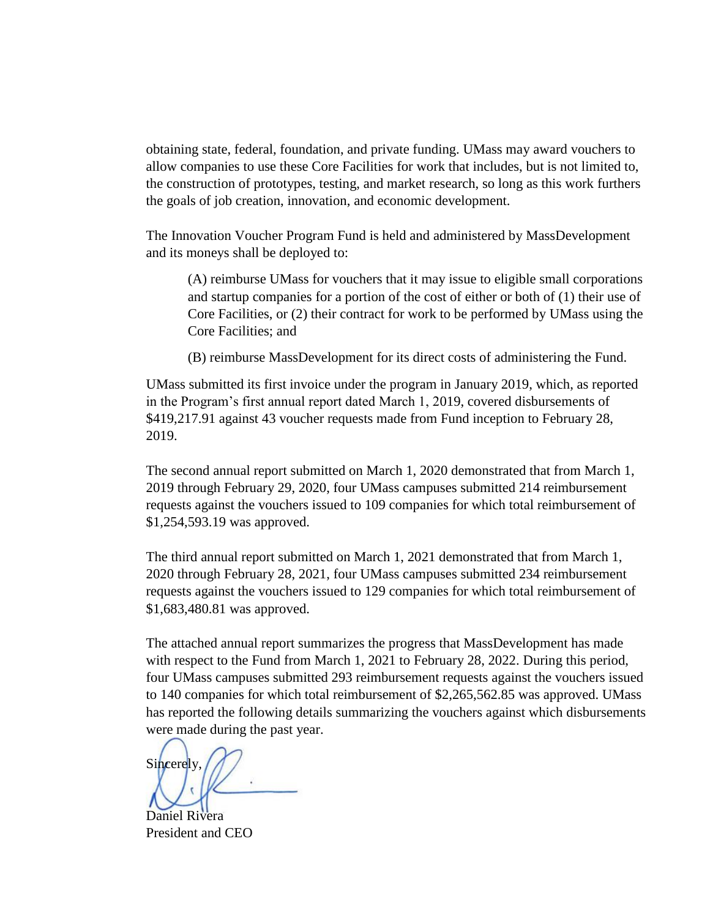obtaining state, federal, foundation, and private funding. UMass may award vouchers to allow companies to use these Core Facilities for work that includes, but is not limited to, the construction of prototypes, testing, and market research, so long as this work furthers the goals of job creation, innovation, and economic development.

The Innovation Voucher Program Fund is held and administered by MassDevelopment and its moneys shall be deployed to:

(A) reimburse UMass for vouchers that it may issue to eligible small corporations and startup companies for a portion of the cost of either or both of (1) their use of Core Facilities, or (2) their contract for work to be performed by UMass using the Core Facilities; and

(B) reimburse MassDevelopment for its direct costs of administering the Fund.

UMass submitted its first invoice under the program in January 2019, which, as reported in the Program's first annual report dated March 1, 2019, covered disbursements of \$419,217.91 against 43 voucher requests made from Fund inception to February 28, 2019.

The second annual report submitted on March 1, 2020 demonstrated that from March 1, 2019 through February 29, 2020, four UMass campuses submitted 214 reimbursement requests against the vouchers issued to 109 companies for which total reimbursement of \$1,254,593.19 was approved.

The third annual report submitted on March 1, 2021 demonstrated that from March 1, 2020 through February 28, 2021, four UMass campuses submitted 234 reimbursement requests against the vouchers issued to 129 companies for which total reimbursement of \$1,683,480.81 was approved.

The attached annual report summarizes the progress that MassDevelopment has made with respect to the Fund from March 1, 2021 to February 28, 2022. During this period, four UMass campuses submitted 293 reimbursement requests against the vouchers issued to 140 companies for which total reimbursement of \$2,265,562.85 was approved. UMass has reported the following details summarizing the vouchers against which disbursements were made during the past year.

Sincerely,

Daniel Rivera President and CEO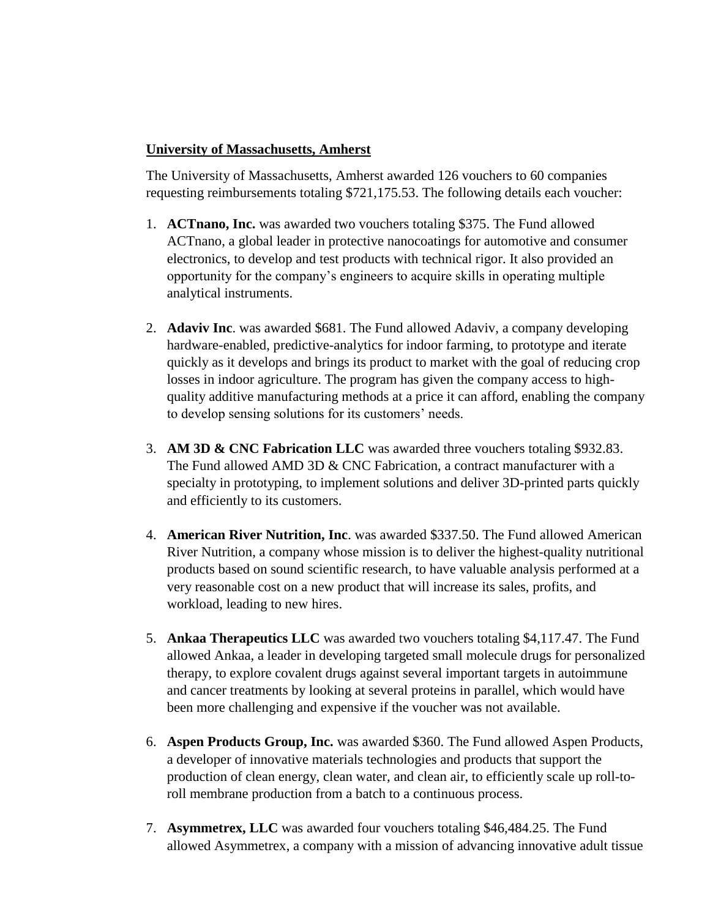## **University of Massachusetts, Amherst**

The University of Massachusetts, Amherst awarded 126 vouchers to 60 companies requesting reimbursements totaling \$721,175.53. The following details each voucher:

- 1. **ACTnano, Inc.** was awarded two vouchers totaling \$375. The Fund allowed ACTnano, a global leader in protective nanocoatings for automotive and consumer electronics, to develop and test products with technical rigor. It also provided an opportunity for the company's engineers to acquire skills in operating multiple analytical instruments.
- 2. **Adaviv Inc**. was awarded \$681. The Fund allowed Adaviv, a company developing hardware-enabled, predictive-analytics for indoor farming, to prototype and iterate quickly as it develops and brings its product to market with the goal of reducing crop losses in indoor agriculture. The program has given the company access to highquality additive manufacturing methods at a price it can afford, enabling the company to develop sensing solutions for its customers' needs.
- 3. **AM 3D & CNC Fabrication LLC** was awarded three vouchers totaling \$932.83. The Fund allowed AMD 3D & CNC Fabrication, a contract manufacturer with a specialty in prototyping, to implement solutions and deliver 3D-printed parts quickly and efficiently to its customers.
- 4. **American River Nutrition, Inc**. was awarded \$337.50. The Fund allowed American River Nutrition, a company whose mission is to deliver the highest-quality nutritional products based on sound scientific research, to have valuable analysis performed at a very reasonable cost on a new product that will increase its sales, profits, and workload, leading to new hires.
- 5. **Ankaa Therapeutics LLC** was awarded two vouchers totaling \$4,117.47. The Fund allowed Ankaa, a leader in developing targeted small molecule drugs for personalized therapy, to explore covalent drugs against several important targets in autoimmune and cancer treatments by looking at several proteins in parallel, which would have been more challenging and expensive if the voucher was not available.
- 6. **Aspen Products Group, Inc.** was awarded \$360. The Fund allowed Aspen Products, a developer of innovative materials technologies and products that support the production of clean energy, clean water, and clean air, to efficiently scale up roll-toroll membrane production from a batch to a continuous process.
- 7. **Asymmetrex, LLC** was awarded four vouchers totaling \$46,484.25. The Fund allowed Asymmetrex, a company with a mission of advancing innovative adult tissue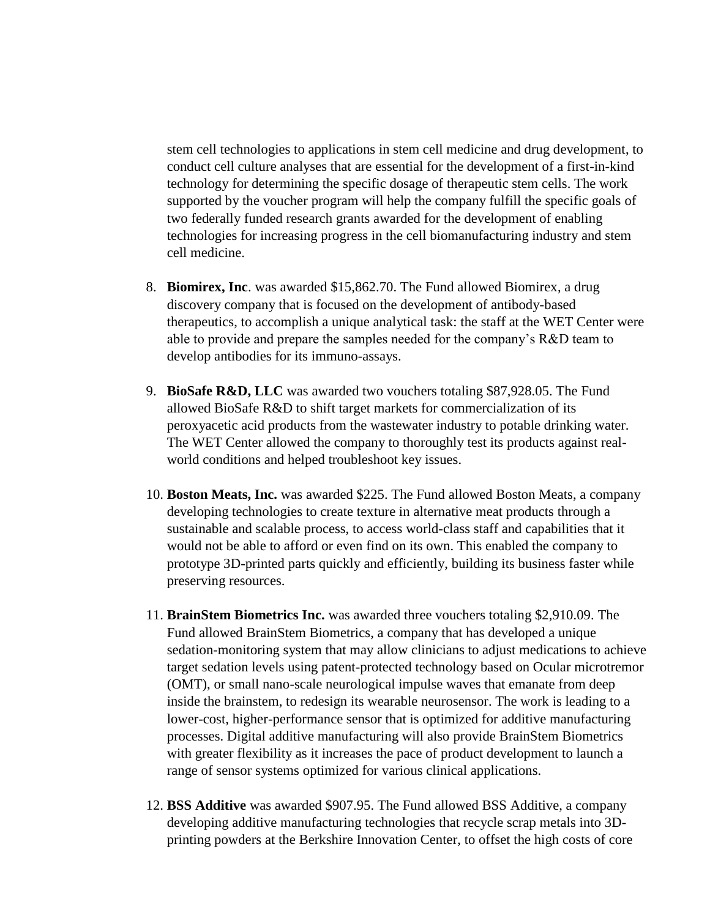stem cell technologies to applications in stem cell medicine and drug development, to conduct cell culture analyses that are essential for the development of a first-in-kind technology for determining the specific dosage of therapeutic stem cells. The work supported by the voucher program will help the company fulfill the specific goals of two federally funded research grants awarded for the development of enabling technologies for increasing progress in the cell biomanufacturing industry and stem cell medicine.

- 8. **Biomirex, Inc**. was awarded \$15,862.70. The Fund allowed Biomirex, a drug discovery company that is focused on the development of antibody-based therapeutics, to accomplish a unique analytical task: the staff at the WET Center were able to provide and prepare the samples needed for the company's R&D team to develop antibodies for its immuno-assays.
- 9. **BioSafe R&D, LLC** was awarded two vouchers totaling \$87,928.05. The Fund allowed BioSafe R&D to shift target markets for commercialization of its peroxyacetic acid products from the wastewater industry to potable drinking water. The WET Center allowed the company to thoroughly test its products against realworld conditions and helped troubleshoot key issues.
- 10. **Boston Meats, Inc.** was awarded \$225. The Fund allowed Boston Meats, a company developing technologies to create texture in alternative meat products through a sustainable and scalable process, to access world-class staff and capabilities that it would not be able to afford or even find on its own. This enabled the company to prototype 3D-printed parts quickly and efficiently, building its business faster while preserving resources.
- 11. **BrainStem Biometrics Inc.** was awarded three vouchers totaling \$2,910.09. The Fund allowed BrainStem Biometrics, a company that has developed a unique sedation-monitoring system that may allow clinicians to adjust medications to achieve target sedation levels using patent-protected technology based on Ocular microtremor (OMT), or small nano-scale neurological impulse waves that emanate from deep inside the brainstem, to redesign its wearable neurosensor. The work is leading to a lower-cost, higher-performance sensor that is optimized for additive manufacturing processes. Digital additive manufacturing will also provide BrainStem Biometrics with greater flexibility as it increases the pace of product development to launch a range of sensor systems optimized for various clinical applications.
- 12. **BSS Additive** was awarded \$907.95. The Fund allowed BSS Additive, a company developing additive manufacturing technologies that recycle scrap metals into 3Dprinting powders at the Berkshire Innovation Center, to offset the high costs of core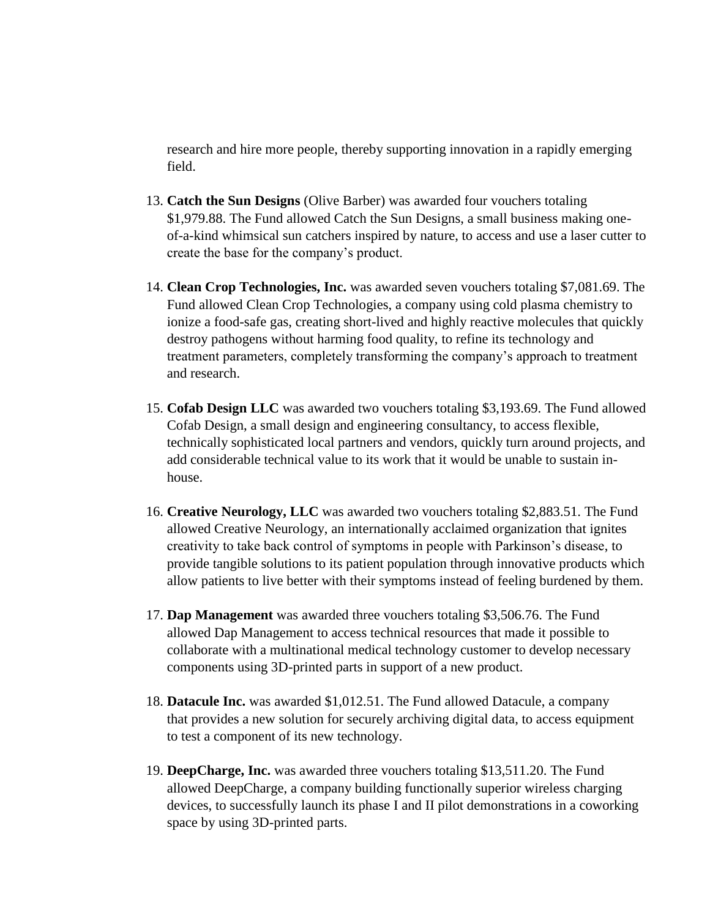research and hire more people, thereby supporting innovation in a rapidly emerging field.

- 13. **Catch the Sun Designs** (Olive Barber) was awarded four vouchers totaling \$1,979.88. The Fund allowed Catch the Sun Designs, a small business making oneof-a-kind whimsical sun catchers inspired by nature, to access and use a laser cutter to create the base for the company's product.
- 14. **Clean Crop Technologies, Inc.** was awarded seven vouchers totaling \$7,081.69. The Fund allowed Clean Crop Technologies, a company using cold plasma chemistry to ionize a food-safe gas, creating short-lived and highly reactive molecules that quickly destroy pathogens without harming food quality, to refine its technology and treatment parameters, completely transforming the company's approach to treatment and research.
- 15. **Cofab Design LLC** was awarded two vouchers totaling \$3,193.69. The Fund allowed Cofab Design, a small design and engineering consultancy, to access flexible, technically sophisticated local partners and vendors, quickly turn around projects, and add considerable technical value to its work that it would be unable to sustain inhouse.
- 16. **Creative Neurology, LLC** was awarded two vouchers totaling \$2,883.51. The Fund allowed Creative Neurology, an internationally acclaimed organization that ignites creativity to take back control of symptoms in people with Parkinson's disease, to provide tangible solutions to its patient population through innovative products which allow patients to live better with their symptoms instead of feeling burdened by them.
- 17. **Dap Management** was awarded three vouchers totaling \$3,506.76. The Fund allowed Dap Management to access technical resources that made it possible to collaborate with a multinational medical technology customer to develop necessary components using 3D-printed parts in support of a new product.
- 18. **Datacule Inc.** was awarded \$1,012.51. The Fund allowed Datacule, a company that provides a new solution for securely archiving digital data, to access equipment to test a component of its new technology.
- 19. **DeepCharge, Inc.** was awarded three vouchers totaling \$13,511.20. The Fund allowed DeepCharge, a company building functionally superior wireless charging devices, to successfully launch its phase I and II pilot demonstrations in a coworking space by using 3D-printed parts.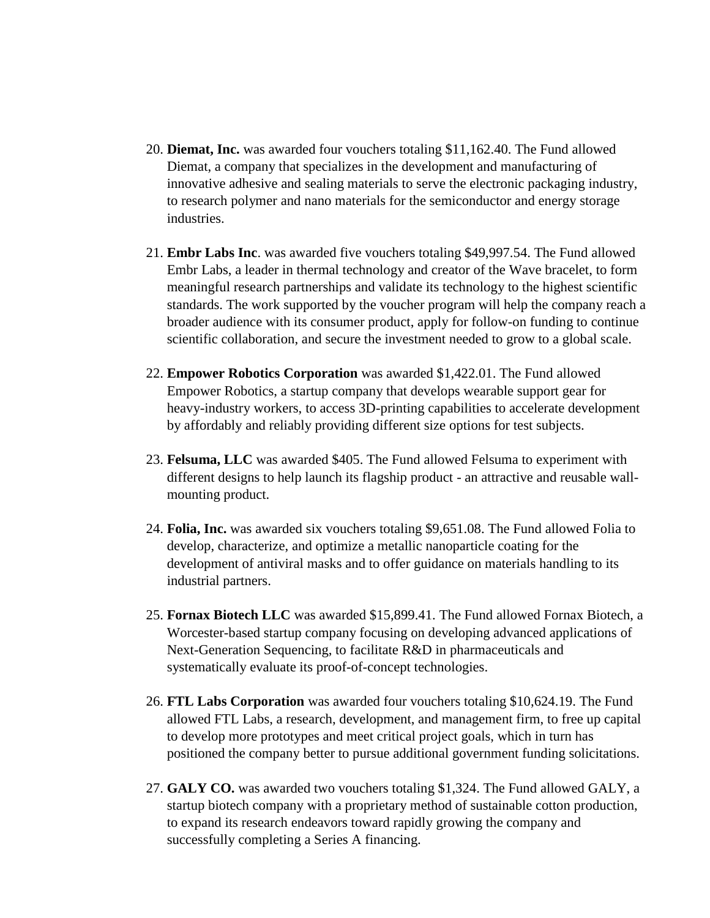- 20. **Diemat, Inc.** was awarded four vouchers totaling \$11,162.40. The Fund allowed Diemat, a company that specializes in the development and manufacturing of innovative adhesive and sealing materials to serve the electronic packaging industry, to research polymer and nano materials for the semiconductor and energy storage industries.
- 21. **Embr Labs Inc**. was awarded five vouchers totaling \$49,997.54. The Fund allowed Embr Labs, a leader in thermal technology and creator of the Wave bracelet, to form meaningful research partnerships and validate its technology to the highest scientific standards. The work supported by the voucher program will help the company reach a broader audience with its consumer product, apply for follow-on funding to continue scientific collaboration, and secure the investment needed to grow to a global scale.
- 22. **Empower Robotics Corporation** was awarded \$1,422.01. The Fund allowed Empower Robotics, a startup company that develops wearable support gear for heavy-industry workers, to access 3D-printing capabilities to accelerate development by affordably and reliably providing different size options for test subjects.
- 23. **Felsuma, LLC** was awarded \$405. The Fund allowed Felsuma to experiment with different designs to help launch its flagship product - an attractive and reusable wallmounting product.
- 24. **Folia, Inc.** was awarded six vouchers totaling \$9,651.08. The Fund allowed Folia to develop, characterize, and optimize a metallic nanoparticle coating for the development of antiviral masks and to offer guidance on materials handling to its industrial partners.
- 25. **Fornax Biotech LLC** was awarded \$15,899.41. The Fund allowed Fornax Biotech, a Worcester-based startup company focusing on developing advanced applications of Next-Generation Sequencing, to facilitate R&D in pharmaceuticals and systematically evaluate its proof-of-concept technologies.
- 26. **FTL Labs Corporation** was awarded four vouchers totaling \$10,624.19. The Fund allowed FTL Labs, a research, development, and management firm, to free up capital to develop more prototypes and meet critical project goals, which in turn has positioned the company better to pursue additional government funding solicitations.
- 27. **GALY CO.** was awarded two vouchers totaling \$1,324. The Fund allowed GALY, a startup biotech company with a proprietary method of sustainable cotton production, to expand its research endeavors toward rapidly growing the company and successfully completing a Series A financing.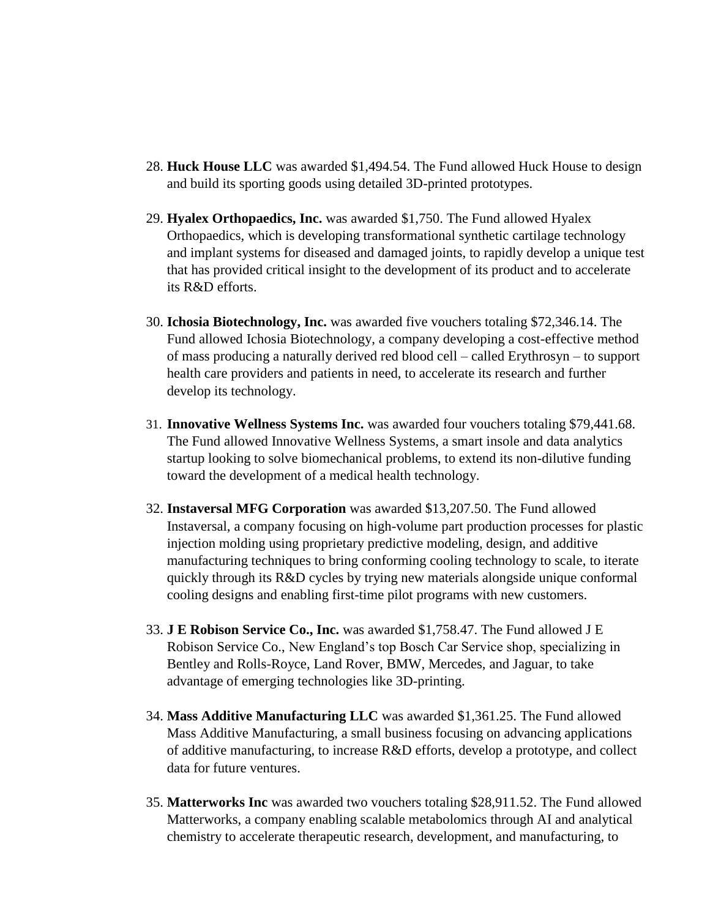- 28. **Huck House LLC** was awarded \$1,494.54. The Fund allowed Huck House to design and build its sporting goods using detailed 3D-printed prototypes.
- 29. **Hyalex Orthopaedics, Inc.** was awarded \$1,750. The Fund allowed Hyalex Orthopaedics, which is developing transformational synthetic cartilage technology and implant systems for diseased and damaged joints, to rapidly develop a unique test that has provided critical insight to the development of its product and to accelerate its R&D efforts.
- 30. **Ichosia Biotechnology, Inc.** was awarded five vouchers totaling \$72,346.14. The Fund allowed Ichosia Biotechnology, a company developing a cost-effective method of mass producing a naturally derived red blood cell – called Erythrosyn – to support health care providers and patients in need, to accelerate its research and further develop its technology.
- 31. **Innovative Wellness Systems Inc.** was awarded four vouchers totaling \$79,441.68. The Fund allowed Innovative Wellness Systems, a smart insole and data analytics startup looking to solve biomechanical problems, to extend its non-dilutive funding toward the development of a medical health technology.
- 32. **Instaversal MFG Corporation** was awarded \$13,207.50. The Fund allowed Instaversal, a company focusing on high-volume part production processes for plastic injection molding using proprietary predictive modeling, design, and additive manufacturing techniques to bring conforming cooling technology to scale, to iterate quickly through its R&D cycles by trying new materials alongside unique conformal cooling designs and enabling first-time pilot programs with new customers.
- 33. **J E Robison Service Co., Inc.** was awarded \$1,758.47. The Fund allowed J E Robison Service Co., New England's top Bosch Car Service shop, specializing in Bentley and Rolls-Royce, Land Rover, BMW, Mercedes, and Jaguar, to take advantage of emerging technologies like 3D-printing.
- 34. **Mass Additive Manufacturing LLC** was awarded \$1,361.25. The Fund allowed Mass Additive Manufacturing, a small business focusing on advancing applications of additive manufacturing, to increase R&D efforts, develop a prototype, and collect data for future ventures.
- 35. **Matterworks Inc** was awarded two vouchers totaling \$28,911.52. The Fund allowed Matterworks, a company enabling scalable metabolomics through AI and analytical chemistry to accelerate therapeutic research, development, and manufacturing, to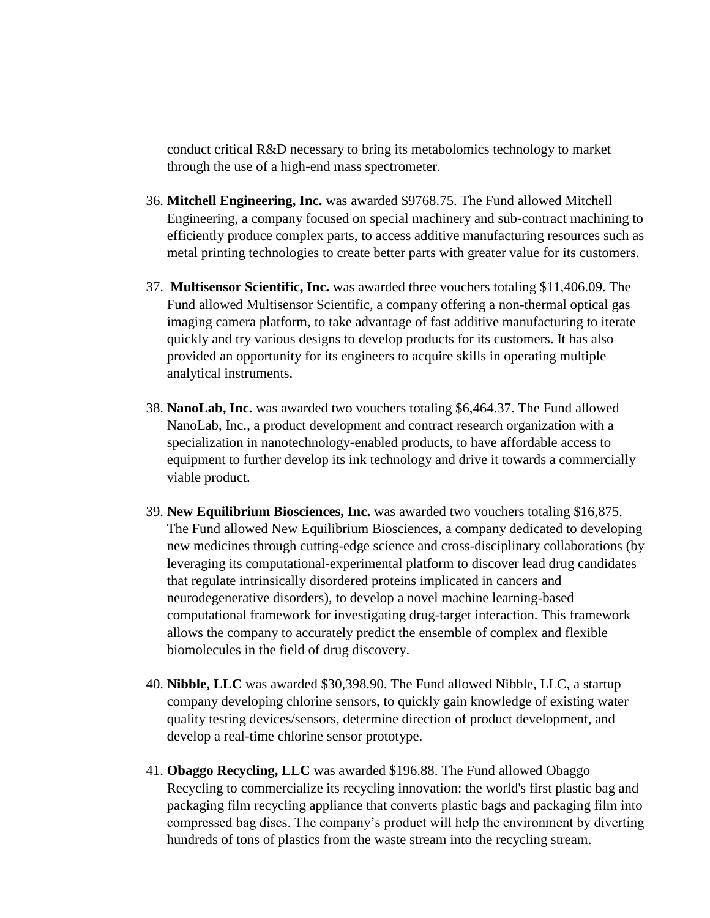conduct critical R&D necessary to bring its metabolomics technology to market through the use of a high-end mass spectrometer.

- 36. **Mitchell Engineering, Inc.** was awarded \$9768.75. The Fund allowed Mitchell Engineering, a company focused on special machinery and sub-contract machining to efficiently produce complex parts, to access additive manufacturing resources such as metal printing technologies to create better parts with greater value for its customers.
- 37. **Multisensor Scientific, Inc.** was awarded three vouchers totaling \$11,406.09. The Fund allowed Multisensor Scientific, a company offering a non-thermal optical gas imaging camera platform, to take advantage of fast additive manufacturing to iterate quickly and try various designs to develop products for its customers. It has also provided an opportunity for its engineers to acquire skills in operating multiple analytical instruments.
- 38. **NanoLab, Inc.** was awarded two vouchers totaling \$6,464.37. The Fund allowed NanoLab, Inc., a product development and contract research organization with a specialization in nanotechnology-enabled products, to have affordable access to equipment to further develop its ink technology and drive it towards a commercially viable product.
- 39. **New Equilibrium Biosciences, Inc.** was awarded two vouchers totaling \$16,875. The Fund allowed New Equilibrium Biosciences, a company dedicated to developing new medicines through cutting-edge science and cross-disciplinary collaborations (by leveraging its computational-experimental platform to discover lead drug candidates that regulate intrinsically disordered proteins implicated in cancers and neurodegenerative disorders), to develop a novel machine learning-based computational framework for investigating drug-target interaction. This framework allows the company to accurately predict the ensemble of complex and flexible biomolecules in the field of drug discovery.
- 40. **Nibble, LLC** was awarded \$30,398.90. The Fund allowed Nibble, LLC, a startup company developing chlorine sensors, to quickly gain knowledge of existing water quality testing devices/sensors, determine direction of product development, and develop a real-time chlorine sensor prototype.
- 41. **Obaggo Recycling, LLC** was awarded \$196.88. The Fund allowed Obaggo Recycling to commercialize its recycling innovation: the world's first plastic bag and packaging film recycling appliance that converts plastic bags and packaging film into compressed bag discs. The company's product will help the environment by diverting hundreds of tons of plastics from the waste stream into the recycling stream.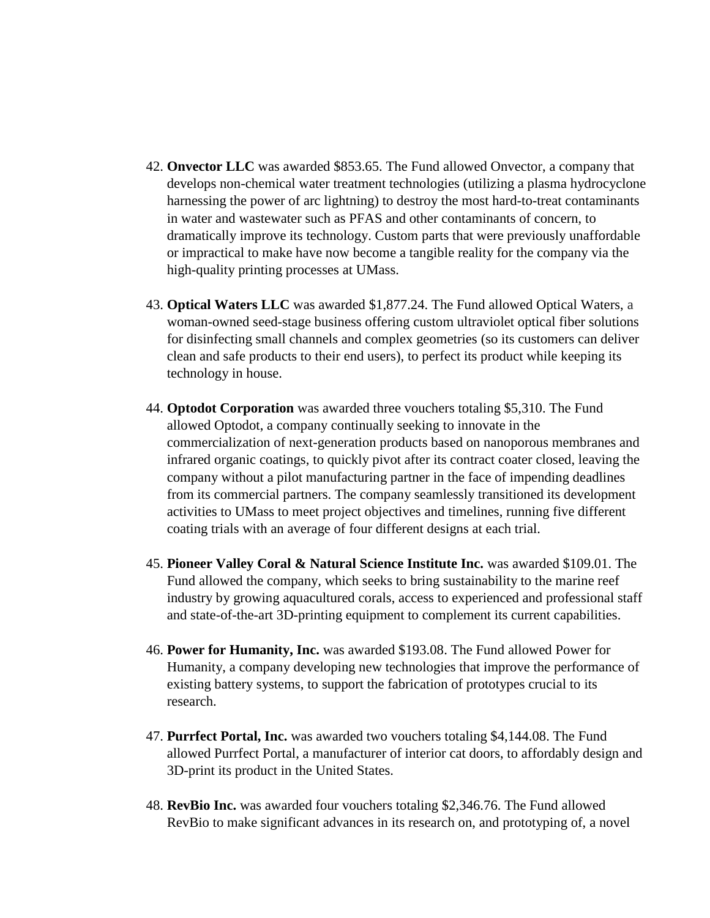- 42. **Onvector LLC** was awarded \$853.65. The Fund allowed Onvector, a company that develops non-chemical water treatment technologies (utilizing a plasma hydrocyclone harnessing the power of arc lightning) to destroy the most hard-to-treat contaminants in water and wastewater such as PFAS and other contaminants of concern, to dramatically improve its technology. Custom parts that were previously unaffordable or impractical to make have now become a tangible reality for the company via the high-quality printing processes at UMass.
- 43. **Optical Waters LLC** was awarded \$1,877.24. The Fund allowed Optical Waters, a woman-owned seed-stage business offering custom ultraviolet optical fiber solutions for disinfecting small channels and complex geometries (so its customers can deliver clean and safe products to their end users), to perfect its product while keeping its technology in house.
- 44. **Optodot Corporation** was awarded three vouchers totaling \$5,310. The Fund allowed Optodot, a company continually seeking to innovate in the commercialization of next-generation products based on nanoporous membranes and infrared organic coatings, to quickly pivot after its contract coater closed, leaving the company without a pilot manufacturing partner in the face of impending deadlines from its commercial partners. The company seamlessly transitioned its development activities to UMass to meet project objectives and timelines, running five different coating trials with an average of four different designs at each trial.
- 45. **Pioneer Valley Coral & Natural Science Institute Inc.** was awarded \$109.01. The Fund allowed the company, which seeks to bring sustainability to the marine reef industry by growing aquacultured corals, access to experienced and professional staff and state-of-the-art 3D-printing equipment to complement its current capabilities.
- 46. **Power for Humanity, Inc.** was awarded \$193.08. The Fund allowed Power for Humanity, a company developing new technologies that improve the performance of existing battery systems, to support the fabrication of prototypes crucial to its research.
- 47. **Purrfect Portal, Inc.** was awarded two vouchers totaling \$4,144.08. The Fund allowed Purrfect Portal, a manufacturer of interior cat doors, to affordably design and 3D-print its product in the United States.
- 48. **RevBio Inc.** was awarded four vouchers totaling \$2,346.76. The Fund allowed RevBio to make significant advances in its research on, and prototyping of, a novel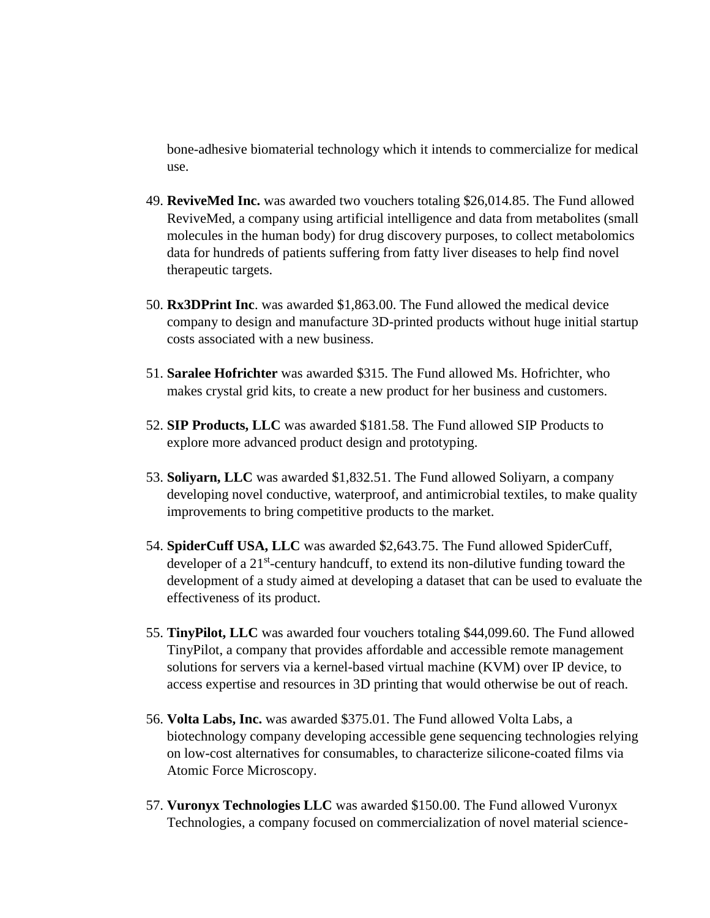bone-adhesive biomaterial technology which it intends to commercialize for medical use.

- 49. **ReviveMed Inc.** was awarded two vouchers totaling \$26,014.85. The Fund allowed ReviveMed, a company using artificial intelligence and data from metabolites (small molecules in the human body) for drug discovery purposes, to collect metabolomics data for hundreds of patients suffering from fatty liver diseases to help find novel therapeutic targets.
- 50. **Rx3DPrint Inc**. was awarded \$1,863.00. The Fund allowed the medical device company to design and manufacture 3D-printed products without huge initial startup costs associated with a new business.
- 51. **Saralee Hofrichter** was awarded \$315. The Fund allowed Ms. Hofrichter, who makes crystal grid kits, to create a new product for her business and customers.
- 52. **SIP Products, LLC** was awarded \$181.58. The Fund allowed SIP Products to explore more advanced product design and prototyping.
- 53. **Soliyarn, LLC** was awarded \$1,832.51. The Fund allowed Soliyarn, a company developing novel conductive, waterproof, and antimicrobial textiles, to make quality improvements to bring competitive products to the market.
- 54. **SpiderCuff USA, LLC** was awarded \$2,643.75. The Fund allowed SpiderCuff, developer of a 21<sup>st</sup>-century handcuff, to extend its non-dilutive funding toward the development of a study aimed at developing a dataset that can be used to evaluate the effectiveness of its product.
- 55. **TinyPilot, LLC** was awarded four vouchers totaling \$44,099.60. The Fund allowed TinyPilot, a company that provides affordable and accessible remote management solutions for servers via a kernel-based virtual machine (KVM) over IP device, to access expertise and resources in 3D printing that would otherwise be out of reach.
- 56. **Volta Labs, Inc.** was awarded \$375.01. The Fund allowed Volta Labs, a biotechnology company developing accessible gene sequencing technologies relying on low-cost alternatives for consumables, to characterize silicone-coated films via Atomic Force Microscopy.
- 57. **Vuronyx Technologies LLC** was awarded \$150.00. The Fund allowed Vuronyx Technologies, a company focused on commercialization of novel material science-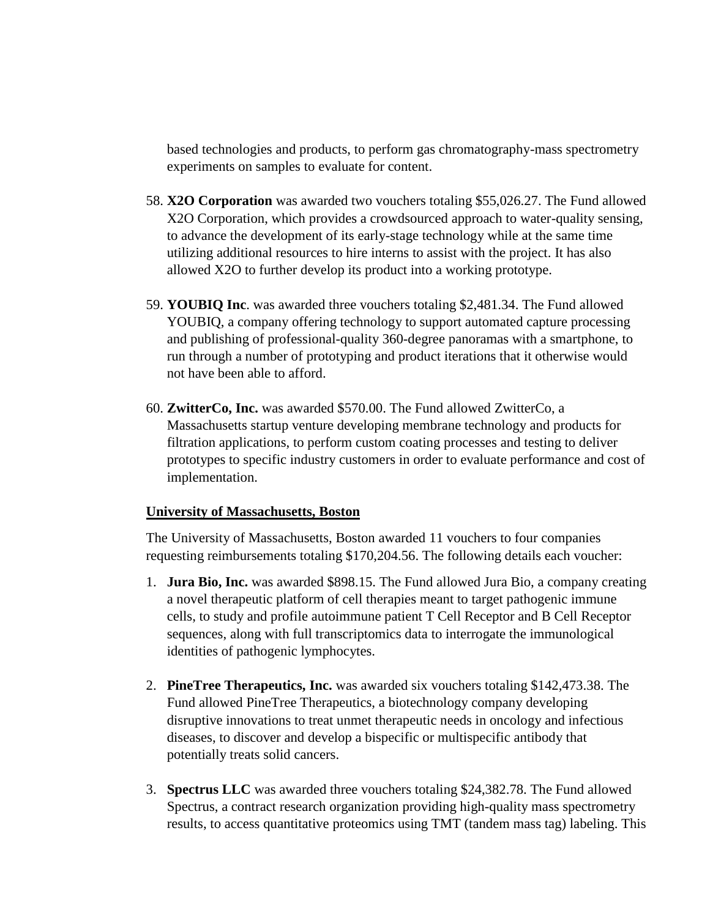based technologies and products, to perform gas chromatography-mass spectrometry experiments on samples to evaluate for content.

- 58. **X2O Corporation** was awarded two vouchers totaling \$55,026.27. The Fund allowed X2O Corporation, which provides a crowdsourced approach to water-quality sensing, to advance the development of its early-stage technology while at the same time utilizing additional resources to hire interns to assist with the project. It has also allowed X2O to further develop its product into a working prototype.
- 59. **YOUBIQ Inc**. was awarded three vouchers totaling \$2,481.34. The Fund allowed YOUBIQ, a company offering technology to support automated capture processing and publishing of professional-quality 360-degree panoramas with a smartphone, to run through a number of prototyping and product iterations that it otherwise would not have been able to afford.
- 60. **ZwitterCo, Inc.** was awarded \$570.00. The Fund allowed ZwitterCo, a Massachusetts startup venture developing membrane technology and products for filtration applications, to perform custom coating processes and testing to deliver prototypes to specific industry customers in order to evaluate performance and cost of implementation.

## **University of Massachusetts, Boston**

The University of Massachusetts, Boston awarded 11 vouchers to four companies requesting reimbursements totaling \$170,204.56. The following details each voucher:

- 1. **Jura Bio, Inc.** was awarded \$898.15. The Fund allowed Jura Bio, a company creating a novel therapeutic platform of cell therapies meant to target pathogenic immune cells, to study and profile autoimmune patient T Cell Receptor and B Cell Receptor sequences, along with full transcriptomics data to interrogate the immunological identities of pathogenic lymphocytes.
- 2. **PineTree Therapeutics, Inc.** was awarded six vouchers totaling \$142,473.38. The Fund allowed PineTree Therapeutics, a biotechnology company developing disruptive innovations to treat unmet therapeutic needs in oncology and infectious diseases, to discover and develop a bispecific or multispecific antibody that potentially treats solid cancers.
- 3. **Spectrus LLC** was awarded three vouchers totaling \$24,382.78. The Fund allowed Spectrus, a contract research organization providing high-quality mass spectrometry results, to access quantitative proteomics using TMT (tandem mass tag) labeling. This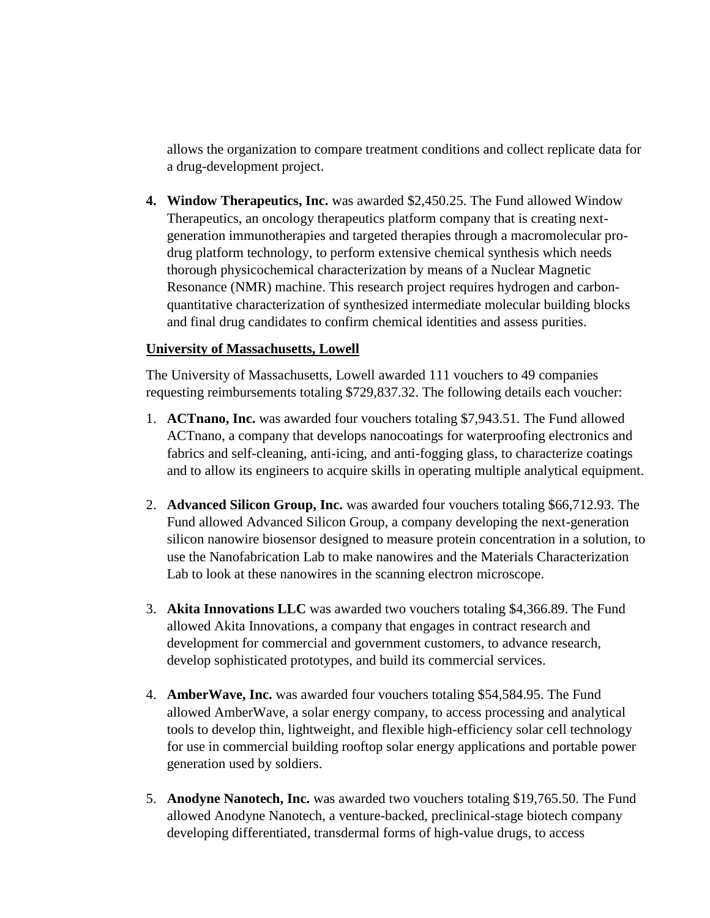allows the organization to compare treatment conditions and collect replicate data for a drug-development project.

**4. Window Therapeutics, Inc.** was awarded \$2,450.25. The Fund allowed Window Therapeutics, an oncology therapeutics platform company that is creating nextgeneration immunotherapies and targeted therapies through a macromolecular prodrug platform technology, to perform extensive chemical synthesis which needs thorough physicochemical characterization by means of a Nuclear Magnetic Resonance (NMR) machine. This research project requires hydrogen and carbonquantitative characterization of synthesized intermediate molecular building blocks and final drug candidates to confirm chemical identities and assess purities.

## **University of Massachusetts, Lowell**

The University of Massachusetts, Lowell awarded 111 vouchers to 49 companies requesting reimbursements totaling \$729,837.32. The following details each voucher:

- 1. **ACTnano, Inc.** was awarded four vouchers totaling \$7,943.51. The Fund allowed ACTnano, a company that develops nanocoatings for waterproofing electronics and fabrics and self-cleaning, anti-icing, and anti-fogging glass, to characterize coatings and to allow its engineers to acquire skills in operating multiple analytical equipment.
- 2. **Advanced Silicon Group, Inc.** was awarded four vouchers totaling \$66,712.93. The Fund allowed Advanced Silicon Group, a company developing the next-generation silicon nanowire biosensor designed to measure protein concentration in a solution, to use the Nanofabrication Lab to make nanowires and the Materials Characterization Lab to look at these nanowires in the scanning electron microscope.
- 3. **Akita Innovations LLC** was awarded two vouchers totaling \$4,366.89. The Fund allowed Akita Innovations, a company that engages in contract research and development for commercial and government customers, to advance research, develop sophisticated prototypes, and build its commercial services.
- 4. **AmberWave, Inc.** was awarded four vouchers totaling \$54,584.95. The Fund allowed AmberWave, a solar energy company, to access processing and analytical tools to develop thin, lightweight, and flexible high-efficiency solar cell technology for use in commercial building rooftop solar energy applications and portable power generation used by soldiers.
- 5. **Anodyne Nanotech, Inc.** was awarded two vouchers totaling \$19,765.50. The Fund allowed Anodyne Nanotech, a venture-backed, preclinical-stage biotech company developing differentiated, transdermal forms of high-value drugs, to access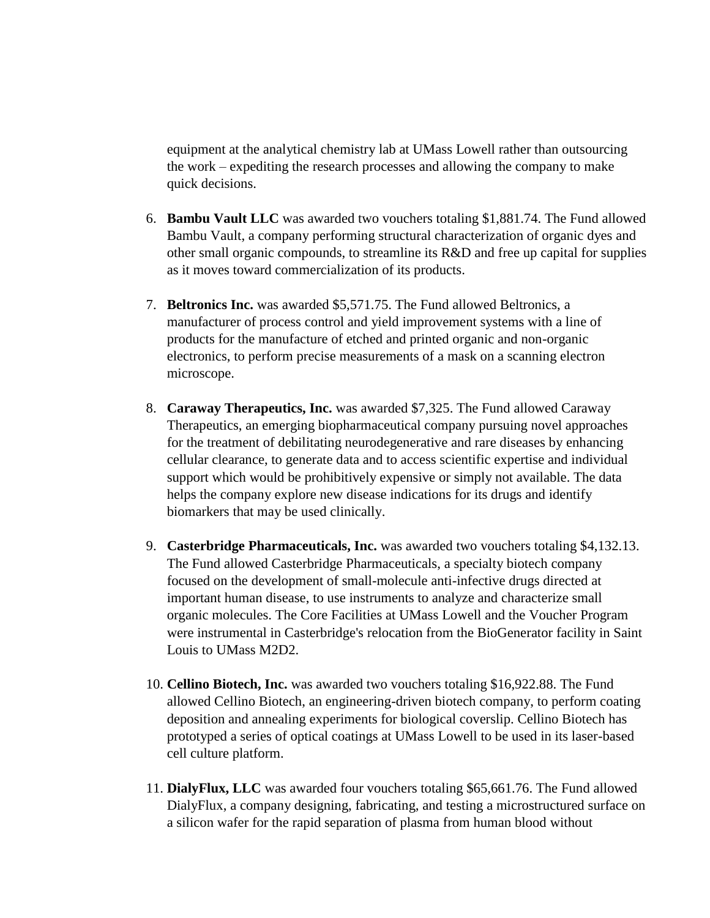equipment at the analytical chemistry lab at UMass Lowell rather than outsourcing the work – expediting the research processes and allowing the company to make quick decisions.

- 6. **Bambu Vault LLC** was awarded two vouchers totaling \$1,881.74. The Fund allowed Bambu Vault, a company performing structural characterization of organic dyes and other small organic compounds, to streamline its R&D and free up capital for supplies as it moves toward commercialization of its products.
- 7. **Beltronics Inc.** was awarded \$5,571.75. The Fund allowed Beltronics, a manufacturer of process control and yield improvement systems with a line of products for the manufacture of etched and printed organic and non-organic electronics, to perform precise measurements of a mask on a scanning electron microscope.
- 8. **Caraway Therapeutics, Inc.** was awarded \$7,325. The Fund allowed Caraway Therapeutics, an emerging biopharmaceutical company pursuing novel approaches for the treatment of debilitating neurodegenerative and rare diseases by enhancing cellular clearance, to generate data and to access scientific expertise and individual support which would be prohibitively expensive or simply not available. The data helps the company explore new disease indications for its drugs and identify biomarkers that may be used clinically.
- 9. **Casterbridge Pharmaceuticals, Inc.** was awarded two vouchers totaling \$4,132.13. The Fund allowed Casterbridge Pharmaceuticals, a specialty biotech company focused on the development of small-molecule anti-infective drugs directed at important human disease, to use instruments to analyze and characterize small organic molecules. The Core Facilities at UMass Lowell and the Voucher Program were instrumental in Casterbridge's relocation from the BioGenerator facility in Saint Louis to UMass M2D2.
- 10. **Cellino Biotech, Inc.** was awarded two vouchers totaling \$16,922.88. The Fund allowed Cellino Biotech, an engineering-driven biotech company, to perform coating deposition and annealing experiments for biological coverslip. Cellino Biotech has prototyped a series of optical coatings at UMass Lowell to be used in its laser-based cell culture platform.
- 11. **DialyFlux, LLC** was awarded four vouchers totaling \$65,661.76. The Fund allowed DialyFlux, a company designing, fabricating, and testing a microstructured surface on a silicon wafer for the rapid separation of plasma from human blood without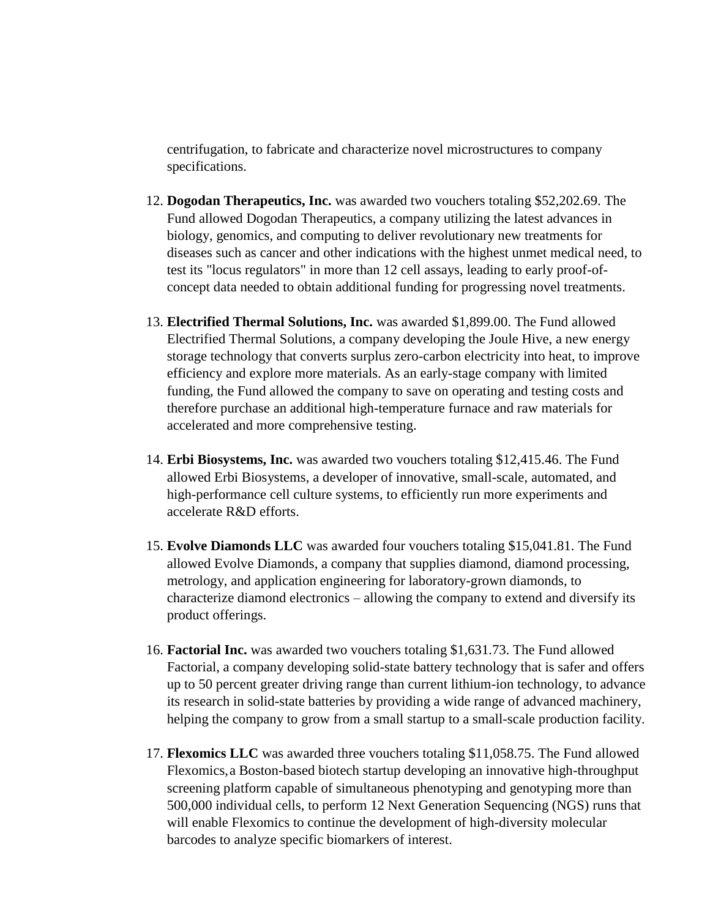centrifugation, to fabricate and characterize novel microstructures to company specifications.

- 12. **Dogodan Therapeutics, Inc.** was awarded two vouchers totaling \$52,202.69. The Fund allowed Dogodan Therapeutics, a company utilizing the latest advances in biology, genomics, and computing to deliver revolutionary new treatments for diseases such as cancer and other indications with the highest unmet medical need, to test its "locus regulators" in more than 12 cell assays, leading to early proof-ofconcept data needed to obtain additional funding for progressing novel treatments.
- 13. **Electrified Thermal Solutions, Inc.** was awarded \$1,899.00. The Fund allowed Electrified Thermal Solutions, a company developing the Joule Hive, a new energy storage technology that converts surplus zero-carbon electricity into heat, to improve efficiency and explore more materials. As an early-stage company with limited funding, the Fund allowed the company to save on operating and testing costs and therefore purchase an additional high-temperature furnace and raw materials for accelerated and more comprehensive testing.
- 14. **Erbi Biosystems, Inc.** was awarded two vouchers totaling \$12,415.46. The Fund allowed Erbi Biosystems, a developer of innovative, small-scale, automated, and high-performance cell culture systems, to efficiently run more experiments and accelerate R&D efforts.
- 15. **Evolve Diamonds LLC** was awarded four vouchers totaling \$15,041.81. The Fund allowed Evolve Diamonds, a company that supplies diamond, diamond processing, metrology, and application engineering for laboratory-grown diamonds, to characterize diamond electronics – allowing the company to extend and diversify its product offerings.
- 16. **Factorial Inc.** was awarded two vouchers totaling \$1,631.73. The Fund allowed Factorial, a company developing solid-state battery technology that is safer and offers up to 50 percent greater driving range than current lithium-ion technology, to advance its research in solid-state batteries by providing a wide range of advanced machinery, helping the company to grow from a small startup to a small-scale production facility.
- 17. **Flexomics LLC** was awarded three vouchers totaling \$11,058.75. The Fund allowed Flexomics,a Boston-based biotech startup developing an innovative high-throughput screening platform capable of simultaneous phenotyping and genotyping more than 500,000 individual cells, to perform 12 Next Generation Sequencing (NGS) runs that will enable Flexomics to continue the development of high-diversity molecular barcodes to analyze specific biomarkers of interest.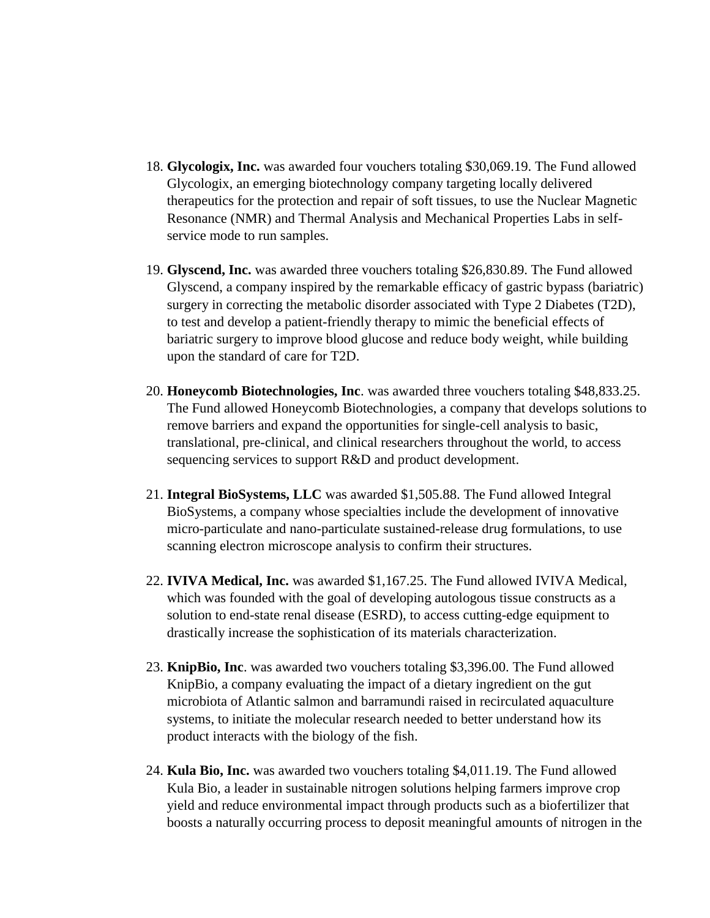- 18. **Glycologix, Inc.** was awarded four vouchers totaling \$30,069.19. The Fund allowed Glycologix, an emerging biotechnology company targeting locally delivered therapeutics for the protection and repair of soft tissues, to use the Nuclear Magnetic Resonance (NMR) and Thermal Analysis and Mechanical Properties Labs in selfservice mode to run samples.
- 19. **Glyscend, Inc.** was awarded three vouchers totaling \$26,830.89. The Fund allowed Glyscend, a company inspired by the remarkable efficacy of gastric bypass (bariatric) surgery in correcting the metabolic disorder associated with Type 2 Diabetes (T2D), to test and develop a patient-friendly therapy to mimic the beneficial effects of bariatric surgery to improve blood glucose and reduce body weight, while building upon the standard of care for T2D.
- 20. **Honeycomb Biotechnologies, Inc**. was awarded three vouchers totaling \$48,833.25. The Fund allowed Honeycomb Biotechnologies, a company that develops solutions to remove barriers and expand the opportunities for single-cell analysis to basic, translational, pre-clinical, and clinical researchers throughout the world, to access sequencing services to support R&D and product development.
- 21. **Integral BioSystems, LLC** was awarded \$1,505.88. The Fund allowed Integral BioSystems, a company whose specialties include the development of innovative micro-particulate and nano-particulate sustained-release drug formulations, to use scanning electron microscope analysis to confirm their structures.
- 22. **IVIVA Medical, Inc.** was awarded \$1,167.25. The Fund allowed IVIVA Medical, which was founded with the goal of developing autologous tissue constructs as a solution to end-state renal disease (ESRD), to access cutting-edge equipment to drastically increase the sophistication of its materials characterization.
- 23. **KnipBio, Inc**. was awarded two vouchers totaling \$3,396.00. The Fund allowed KnipBio, a company evaluating the impact of a dietary ingredient on the gut microbiota of Atlantic salmon and barramundi raised in recirculated aquaculture systems, to initiate the molecular research needed to better understand how its product interacts with the biology of the fish.
- 24. **Kula Bio, Inc.** was awarded two vouchers totaling \$4,011.19. The Fund allowed Kula Bio, a leader in sustainable nitrogen solutions helping farmers improve crop yield and reduce environmental impact through products such as a biofertilizer that boosts a naturally occurring process to deposit meaningful amounts of nitrogen in the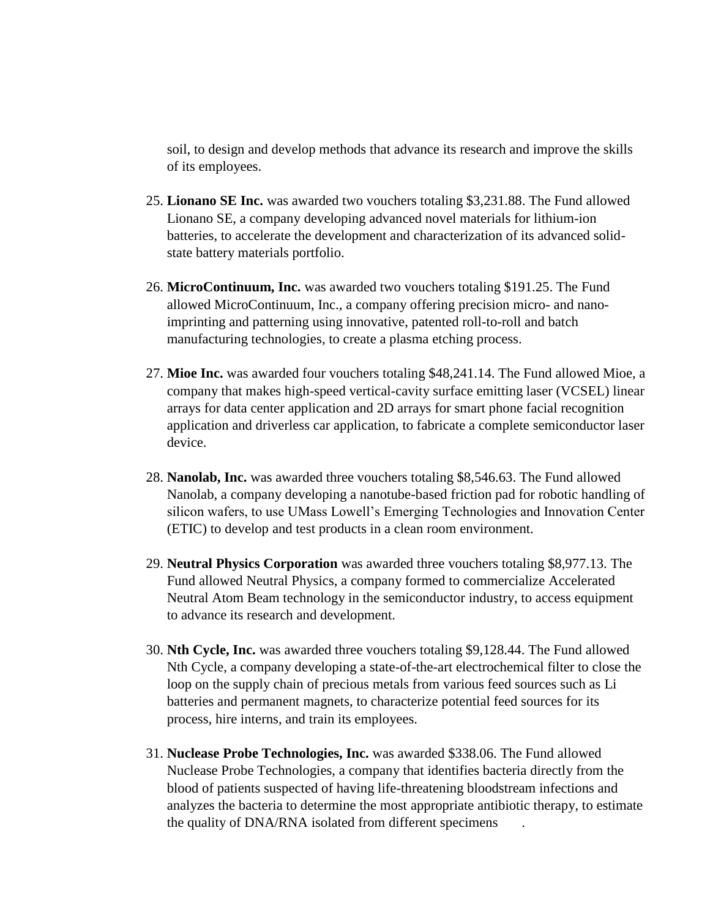soil, to design and develop methods that advance its research and improve the skills of its employees.

- 25. **Lionano SE Inc.** was awarded two vouchers totaling \$3,231.88. The Fund allowed Lionano SE, a company developing advanced novel materials for lithium-ion batteries, to accelerate the development and characterization of its advanced solidstate battery materials portfolio.
- 26. **MicroContinuum, Inc.** was awarded two vouchers totaling \$191.25. The Fund allowed MicroContinuum, Inc., a company offering precision micro- and nanoimprinting and patterning using innovative, patented roll-to-roll and batch manufacturing technologies, to create a plasma etching process.
- 27. **Mioe Inc.** was awarded four vouchers totaling \$48,241.14. The Fund allowed Mioe, a company that makes high-speed vertical-cavity surface emitting laser (VCSEL) linear arrays for data center application and 2D arrays for smart phone facial recognition application and driverless car application, to fabricate a complete semiconductor laser device.
- 28. **Nanolab, Inc.** was awarded three vouchers totaling \$8,546.63. The Fund allowed Nanolab, a company developing a nanotube-based friction pad for robotic handling of silicon wafers, to use UMass Lowell's Emerging Technologies and Innovation Center (ETIC) to develop and test products in a clean room environment.
- 29. **Neutral Physics Corporation** was awarded three vouchers totaling \$8,977.13. The Fund allowed Neutral Physics, a company formed to commercialize Accelerated Neutral Atom Beam technology in the semiconductor industry, to access equipment to advance its research and development.
- 30. **Nth Cycle, Inc.** was awarded three vouchers totaling \$9,128.44. The Fund allowed Nth Cycle, a company developing a state-of-the-art electrochemical filter to close the loop on the supply chain of precious metals from various feed sources such as Li batteries and permanent magnets, to characterize potential feed sources for its process, hire interns, and train its employees.
- 31. **Nuclease Probe Technologies, Inc.** was awarded \$338.06. The Fund allowed Nuclease Probe Technologies, a company that identifies bacteria directly from the blood of patients suspected of having life-threatening bloodstream infections and analyzes the bacteria to determine the most appropriate antibiotic therapy, to estimate the quality of DNA/RNA isolated from different specimens .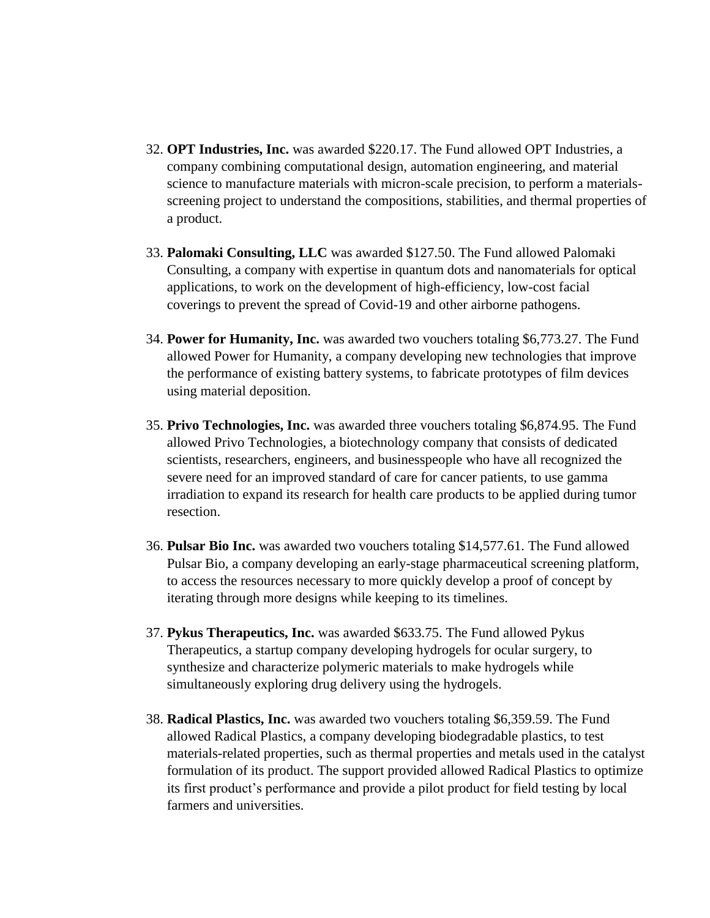- 32. **OPT Industries, Inc.** was awarded \$220.17. The Fund allowed OPT Industries, a company combining computational design, automation engineering, and material science to manufacture materials with micron-scale precision, to perform a materialsscreening project to understand the compositions, stabilities, and thermal properties of a product.
- 33. **Palomaki Consulting, LLC** was awarded \$127.50. The Fund allowed Palomaki Consulting, a company with expertise in quantum dots and nanomaterials for optical applications, to work on the development of high-efficiency, low-cost facial coverings to prevent the spread of Covid-19 and other airborne pathogens.
- 34. **Power for Humanity, Inc.** was awarded two vouchers totaling \$6,773.27. The Fund allowed Power for Humanity, a company developing new technologies that improve the performance of existing battery systems, to fabricate prototypes of film devices using material deposition.
- 35. **Privo Technologies, Inc.** was awarded three vouchers totaling \$6,874.95. The Fund allowed Privo Technologies, a biotechnology company that consists of dedicated scientists, researchers, engineers, and businesspeople who have all recognized the severe need for an improved standard of care for cancer patients, to use gamma irradiation to expand its research for health care products to be applied during tumor resection.
- 36. **Pulsar Bio Inc.** was awarded two vouchers totaling \$14,577.61. The Fund allowed Pulsar Bio, a company developing an early-stage pharmaceutical screening platform, to access the resources necessary to more quickly develop a proof of concept by iterating through more designs while keeping to its timelines.
- 37. **Pykus Therapeutics, Inc.** was awarded \$633.75. The Fund allowed Pykus Therapeutics, a startup company developing hydrogels for ocular surgery, to synthesize and characterize polymeric materials to make hydrogels while simultaneously exploring drug delivery using the hydrogels.
- 38. **Radical Plastics, Inc.** was awarded two vouchers totaling \$6,359.59. The Fund allowed Radical Plastics, a company developing biodegradable plastics, to test materials-related properties, such as thermal properties and metals used in the catalyst formulation of its product. The support provided allowed Radical Plastics to optimize its first product's performance and provide a pilot product for field testing by local farmers and universities.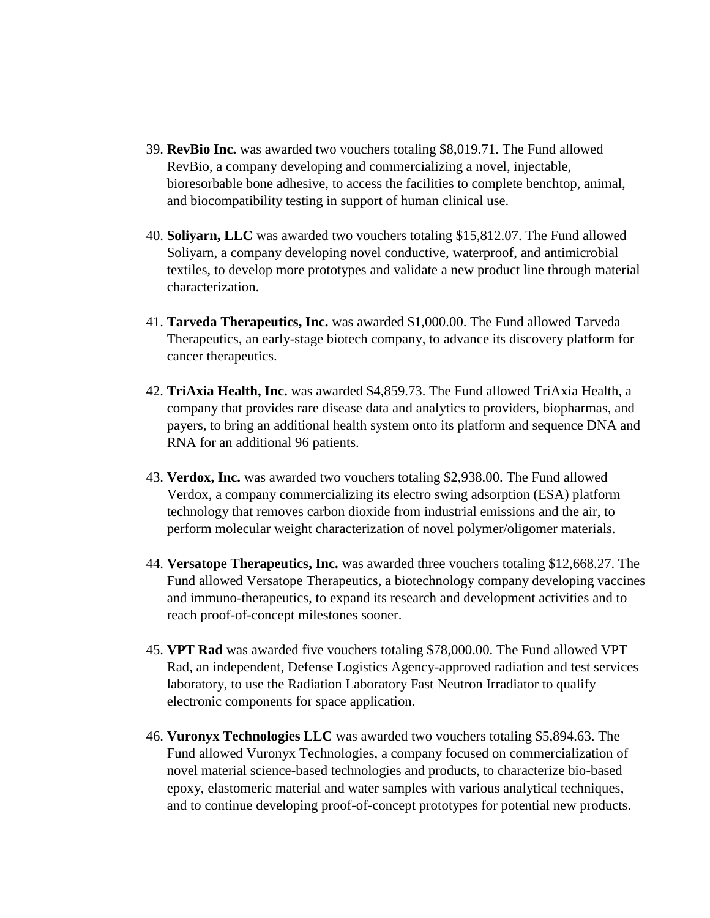- 39. **RevBio Inc.** was awarded two vouchers totaling \$8,019.71. The Fund allowed RevBio, a company developing and commercializing a novel, injectable, bioresorbable bone adhesive, to access the facilities to complete benchtop, animal, and biocompatibility testing in support of human clinical use.
- 40. **Soliyarn, LLC** was awarded two vouchers totaling \$15,812.07. The Fund allowed Soliyarn, a company developing novel conductive, waterproof, and antimicrobial textiles, to develop more prototypes and validate a new product line through material characterization.
- 41. **Tarveda Therapeutics, Inc.** was awarded \$1,000.00. The Fund allowed Tarveda Therapeutics, an early-stage biotech company, to advance its discovery platform for cancer therapeutics.
- 42. **TriAxia Health, Inc.** was awarded \$4,859.73. The Fund allowed TriAxia Health, a company that provides rare disease data and analytics to providers, biopharmas, and payers, to bring an additional health system onto its platform and sequence DNA and RNA for an additional 96 patients.
- 43. **Verdox, Inc.** was awarded two vouchers totaling \$2,938.00. The Fund allowed Verdox, a company commercializing its electro swing adsorption (ESA) platform technology that removes carbon dioxide from industrial emissions and the air, to perform molecular weight characterization of novel polymer/oligomer materials.
- 44. **Versatope Therapeutics, Inc.** was awarded three vouchers totaling \$12,668.27. The Fund allowed Versatope Therapeutics, a biotechnology company developing vaccines and immuno-therapeutics, to expand its research and development activities and to reach proof-of-concept milestones sooner.
- 45. **VPT Rad** was awarded five vouchers totaling \$78,000.00. The Fund allowed VPT Rad, an independent, Defense Logistics Agency-approved radiation and test services laboratory, to use the Radiation Laboratory Fast Neutron Irradiator to qualify electronic components for space application.
- 46. **Vuronyx Technologies LLC** was awarded two vouchers totaling \$5,894.63. The Fund allowed Vuronyx Technologies, a company focused on commercialization of novel material science-based technologies and products, to characterize bio-based epoxy, elastomeric material and water samples with various analytical techniques, and to continue developing proof-of-concept prototypes for potential new products.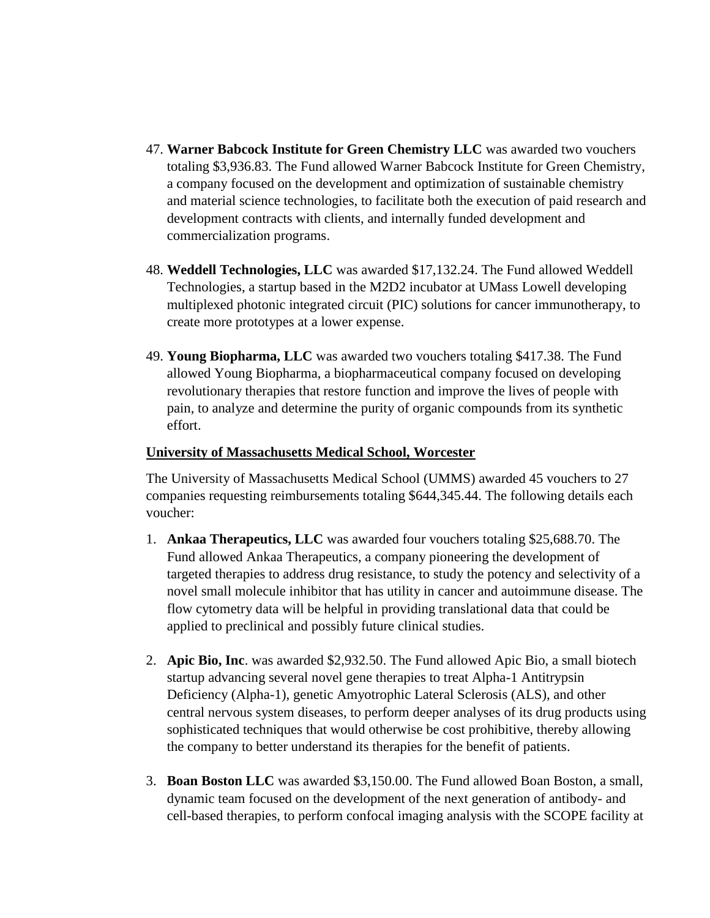- 47. **Warner Babcock Institute for Green Chemistry LLC** was awarded two vouchers totaling \$3,936.83. The Fund allowed Warner Babcock Institute for Green Chemistry, a company focused on the development and optimization of sustainable chemistry and material science technologies, to facilitate both the execution of paid research and development contracts with clients, and internally funded development and commercialization programs.
- 48. **Weddell Technologies, LLC** was awarded \$17,132.24. The Fund allowed Weddell Technologies, a startup based in the M2D2 incubator at UMass Lowell developing multiplexed photonic integrated circuit (PIC) solutions for cancer immunotherapy, to create more prototypes at a lower expense.
- 49. **Young Biopharma, LLC** was awarded two vouchers totaling \$417.38. The Fund allowed Young Biopharma, a biopharmaceutical company focused on developing revolutionary therapies that restore function and improve the lives of people with pain, to analyze and determine the purity of organic compounds from its synthetic effort.

## **University of Massachusetts Medical School, Worcester**

The University of Massachusetts Medical School (UMMS) awarded 45 vouchers to 27 companies requesting reimbursements totaling \$644,345.44. The following details each voucher:

- 1. **Ankaa Therapeutics, LLC** was awarded four vouchers totaling \$25,688.70. The Fund allowed Ankaa Therapeutics, a company pioneering the development of targeted therapies to address drug resistance, to study the potency and selectivity of a novel small molecule inhibitor that has utility in cancer and autoimmune disease. The flow cytometry data will be helpful in providing translational data that could be applied to preclinical and possibly future clinical studies.
- 2. **Apic Bio, Inc**. was awarded \$2,932.50. The Fund allowed Apic Bio, a small biotech startup advancing several novel gene therapies to treat Alpha-1 Antitrypsin Deficiency (Alpha-1), genetic Amyotrophic Lateral Sclerosis (ALS), and other central nervous system diseases, to perform deeper analyses of its drug products using sophisticated techniques that would otherwise be cost prohibitive, thereby allowing the company to better understand its therapies for the benefit of patients.
- 3. **Boan Boston LLC** was awarded \$3,150.00. The Fund allowed Boan Boston, a small, dynamic team focused on the development of the next generation of antibody- and cell-based therapies, to perform confocal imaging analysis with the SCOPE facility at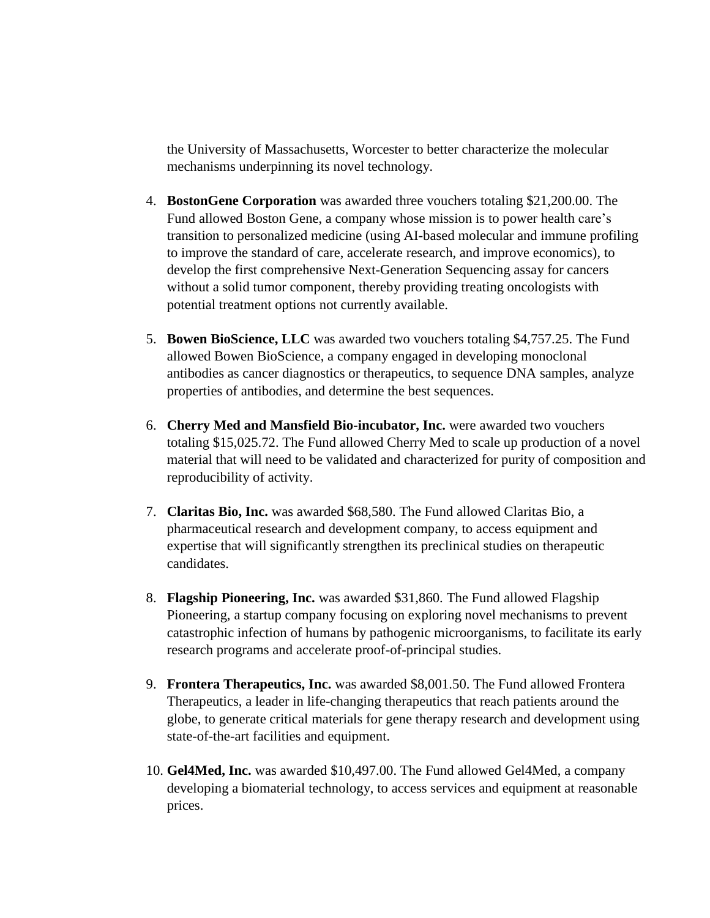the University of Massachusetts, Worcester to better characterize the molecular mechanisms underpinning its novel technology.

- 4. **BostonGene Corporation** was awarded three vouchers totaling \$21,200.00. The Fund allowed Boston Gene, a company whose mission is to power health care's transition to personalized medicine (using AI-based molecular and immune profiling to improve the standard of care, accelerate research, and improve economics), to develop the first comprehensive Next-Generation Sequencing assay for cancers without a solid tumor component, thereby providing treating oncologists with potential treatment options not currently available.
- 5. **Bowen BioScience, LLC** was awarded two vouchers totaling \$4,757.25. The Fund allowed Bowen BioScience, a company engaged in developing monoclonal antibodies as cancer diagnostics or therapeutics, to sequence DNA samples, analyze properties of antibodies, and determine the best sequences.
- 6. **Cherry Med and Mansfield Bio-incubator, Inc.** were awarded two vouchers totaling \$15,025.72. The Fund allowed Cherry Med to scale up production of a novel material that will need to be validated and characterized for purity of composition and reproducibility of activity.
- 7. **Claritas Bio, Inc.** was awarded \$68,580. The Fund allowed Claritas Bio, a pharmaceutical research and development company, to access equipment and expertise that will significantly strengthen its preclinical studies on therapeutic candidates.
- 8. **Flagship Pioneering, Inc.** was awarded \$31,860. The Fund allowed Flagship Pioneering, a startup company focusing on exploring novel mechanisms to prevent catastrophic infection of humans by pathogenic microorganisms, to facilitate its early research programs and accelerate proof-of-principal studies.
- 9. **Frontera Therapeutics, Inc.** was awarded \$8,001.50. The Fund allowed Frontera Therapeutics, a leader in life-changing therapeutics that reach patients around the globe, to generate critical materials for gene therapy research and development using state-of-the-art facilities and equipment.
- 10. **Gel4Med, Inc.** was awarded \$10,497.00. The Fund allowed Gel4Med, a company developing a biomaterial technology, to access services and equipment at reasonable prices.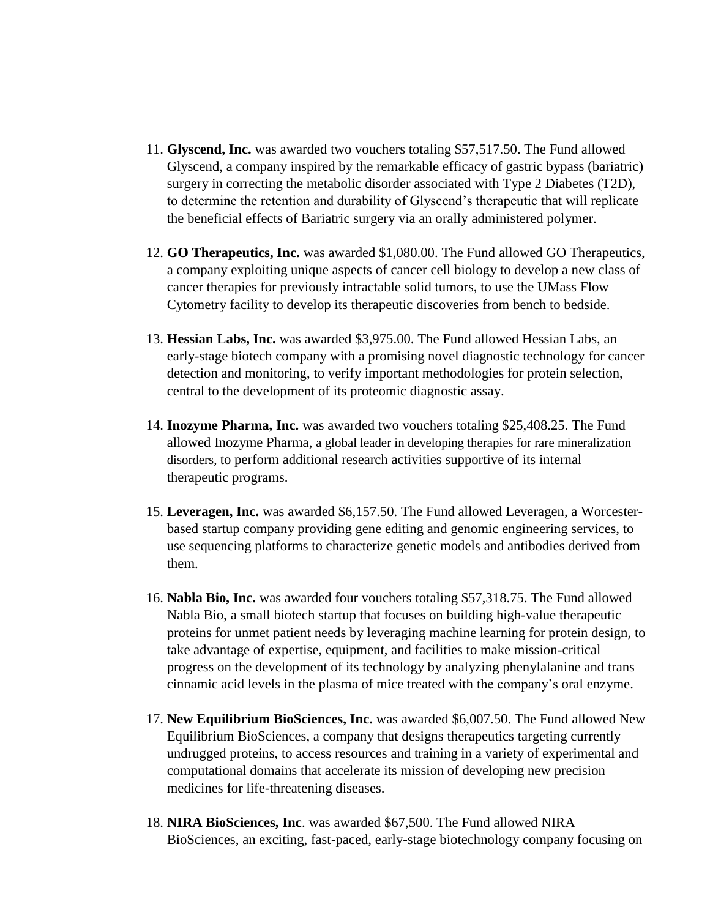- 11. **Glyscend, Inc.** was awarded two vouchers totaling \$57,517.50. The Fund allowed Glyscend, a company inspired by the remarkable efficacy of gastric bypass (bariatric) surgery in correcting the metabolic disorder associated with Type 2 Diabetes (T2D), to determine the retention and durability of Glyscend's therapeutic that will replicate the beneficial effects of Bariatric surgery via an orally administered polymer.
- 12. **GO Therapeutics, Inc.** was awarded \$1,080.00. The Fund allowed GO Therapeutics, a company exploiting unique aspects of cancer cell biology to develop a new class of cancer therapies for previously intractable solid tumors, to use the UMass Flow Cytometry facility to develop its therapeutic discoveries from bench to bedside.
- 13. **Hessian Labs, Inc.** was awarded \$3,975.00. The Fund allowed Hessian Labs, an early-stage biotech company with a promising novel diagnostic technology for cancer detection and monitoring, to verify important methodologies for protein selection, central to the development of its proteomic diagnostic assay.
- 14. **Inozyme Pharma, Inc.** was awarded two vouchers totaling \$25,408.25. The Fund allowed Inozyme Pharma, a global leader in developing therapies for rare mineralization disorders, to perform additional research activities supportive of its internal therapeutic programs.
- 15. **Leveragen, Inc.** was awarded \$6,157.50. The Fund allowed Leveragen, a Worcesterbased startup company providing gene editing and genomic engineering services, to use sequencing platforms to characterize genetic models and antibodies derived from them.
- 16. **Nabla Bio, Inc.** was awarded four vouchers totaling \$57,318.75. The Fund allowed Nabla Bio, a small biotech startup that focuses on building high-value therapeutic proteins for unmet patient needs by leveraging machine learning for protein design, to take advantage of expertise, equipment, and facilities to make mission-critical progress on the development of its technology by analyzing phenylalanine and trans cinnamic acid levels in the plasma of mice treated with the company's oral enzyme.
- 17. **New Equilibrium BioSciences, Inc.** was awarded \$6,007.50. The Fund allowed New Equilibrium BioSciences, a company that designs therapeutics targeting currently undrugged proteins, to access resources and training in a variety of experimental and computational domains that accelerate its mission of developing new precision medicines for life-threatening diseases.
- 18. **NIRA BioSciences, Inc**. was awarded \$67,500. The Fund allowed NIRA BioSciences, an exciting, fast-paced, early-stage biotechnology company focusing on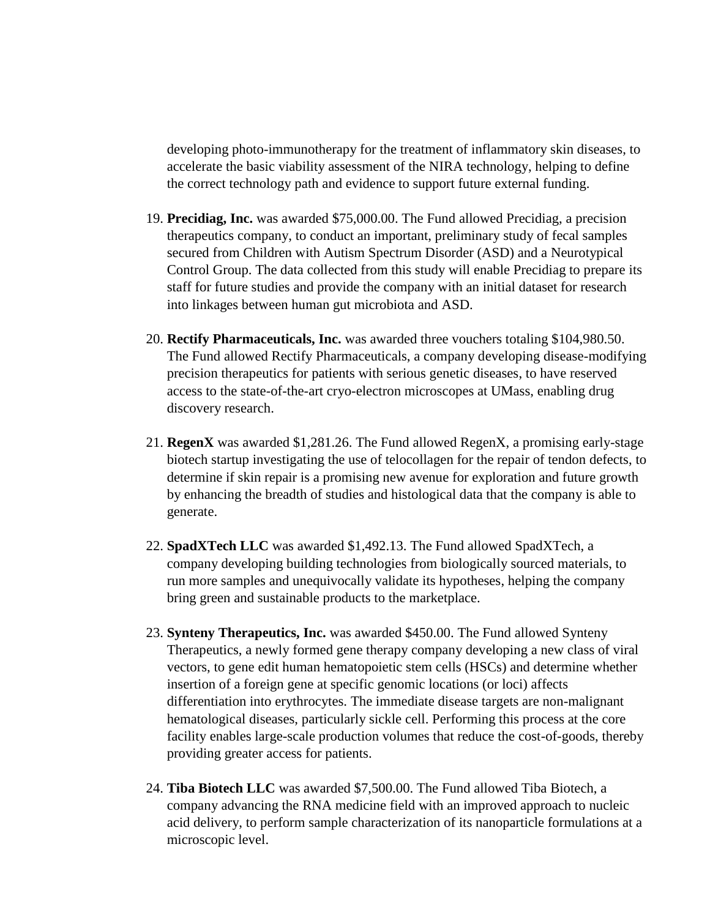developing photo-immunotherapy for the treatment of inflammatory skin diseases, to accelerate the basic viability assessment of the NIRA technology, helping to define the correct technology path and evidence to support future external funding.

- 19. **Precidiag, Inc.** was awarded \$75,000.00. The Fund allowed Precidiag, a precision therapeutics company, to conduct an important, preliminary study of fecal samples secured from Children with Autism Spectrum Disorder (ASD) and a Neurotypical Control Group. The data collected from this study will enable Precidiag to prepare its staff for future studies and provide the company with an initial dataset for research into linkages between human gut microbiota and ASD.
- 20. **Rectify Pharmaceuticals, Inc.** was awarded three vouchers totaling \$104,980.50. The Fund allowed Rectify Pharmaceuticals, a company developing disease-modifying precision therapeutics for patients with serious genetic diseases, to have reserved access to the state-of-the-art cryo-electron microscopes at UMass, enabling drug discovery research.
- 21. **RegenX** was awarded \$1,281.26. The Fund allowed RegenX, a promising early-stage biotech startup investigating the use of telocollagen for the repair of tendon defects, to determine if skin repair is a promising new avenue for exploration and future growth by enhancing the breadth of studies and histological data that the company is able to generate.
- 22. **SpadXTech LLC** was awarded \$1,492.13. The Fund allowed SpadXTech, a company developing building technologies from biologically sourced materials, to run more samples and unequivocally validate its hypotheses, helping the company bring green and sustainable products to the marketplace.
- 23. **Synteny Therapeutics, Inc.** was awarded \$450.00. The Fund allowed Synteny Therapeutics, a newly formed gene therapy company developing a new class of viral vectors, to gene edit human hematopoietic stem cells (HSCs) and determine whether insertion of a foreign gene at specific genomic locations (or loci) affects differentiation into erythrocytes. The immediate disease targets are non-malignant hematological diseases, particularly sickle cell. Performing this process at the core facility enables large-scale production volumes that reduce the cost-of-goods, thereby providing greater access for patients.
- 24. **Tiba Biotech LLC** was awarded \$7,500.00. The Fund allowed Tiba Biotech, a company advancing the RNA medicine field with an improved approach to nucleic acid delivery, to perform sample characterization of its nanoparticle formulations at a microscopic level.